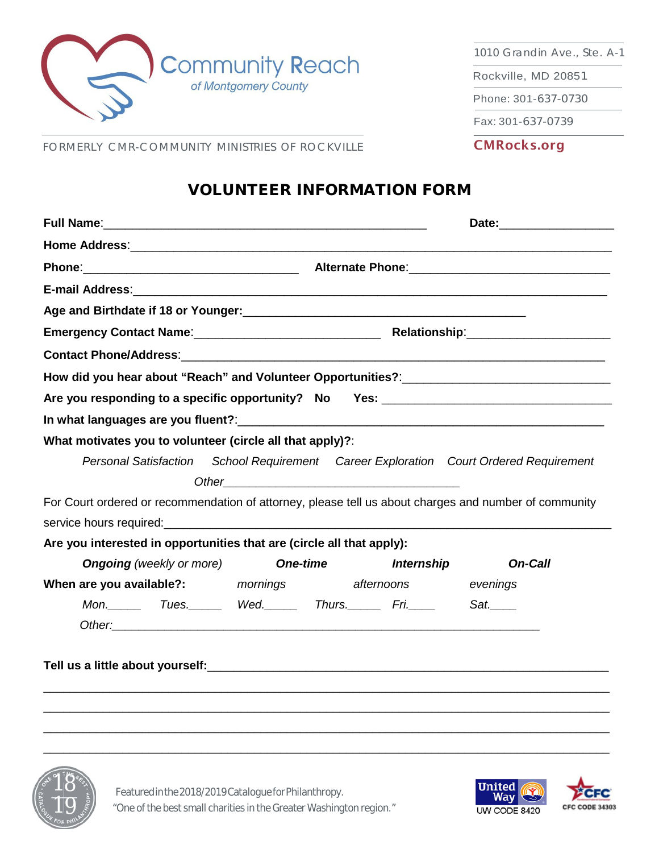

1010 Grandin Ave., Ste. A-1

Rockville, MD 20851

Phone: 301-637-0730

Fax: 301-637-0739

CMRocks.org

FORMERLY CMR-COMMUNITY MINISTRIES OF ROCKVILLE

## VOLUNTEER INFORMATION FORM

|                                                                                                                 | Phone: 2008 2018 2019 2019 2019 2020 2021 2021 2022 2021 2022 2023 2024 2022 2023 2024 2022 2023 2024 2022 2023 2024 2022 2023 2024 2023 2024 2023 2024 2023 2024 2023 2024 2023 2024 2023 2024 2023 2024 2023 2024 2023 2024  |            |                                                                 |  |  |
|-----------------------------------------------------------------------------------------------------------------|--------------------------------------------------------------------------------------------------------------------------------------------------------------------------------------------------------------------------------|------------|-----------------------------------------------------------------|--|--|
|                                                                                                                 |                                                                                                                                                                                                                                |            |                                                                 |  |  |
| Age and Birthdate if 18 or Younger: New York State of the State of the State of the State of the State of the S |                                                                                                                                                                                                                                |            |                                                                 |  |  |
|                                                                                                                 |                                                                                                                                                                                                                                |            |                                                                 |  |  |
|                                                                                                                 |                                                                                                                                                                                                                                |            |                                                                 |  |  |
|                                                                                                                 |                                                                                                                                                                                                                                |            |                                                                 |  |  |
| Are you responding to a specific opportunity? No Yes: ___________________________                               |                                                                                                                                                                                                                                |            |                                                                 |  |  |
|                                                                                                                 |                                                                                                                                                                                                                                |            |                                                                 |  |  |
| What motivates you to volunteer (circle all that apply)?:                                                       |                                                                                                                                                                                                                                |            |                                                                 |  |  |
| <b>Personal Satisfaction</b>                                                                                    |                                                                                                                                                                                                                                |            | School Requirement Career Exploration Court Ordered Requirement |  |  |
|                                                                                                                 | Other example and the contract of the contract of the contract of the contract of the contract of the contract of the contract of the contract of the contract of the contract of the contract of the contract of the contract |            |                                                                 |  |  |
| For Court ordered or recommendation of attorney, please tell us about charges and number of community           |                                                                                                                                                                                                                                |            |                                                                 |  |  |
|                                                                                                                 |                                                                                                                                                                                                                                |            |                                                                 |  |  |
| Are you interested in opportunities that are (circle all that apply):                                           |                                                                                                                                                                                                                                |            |                                                                 |  |  |
| <b>Ongoing</b> (weekly or more)                                                                                 | <b>One-time</b>                                                                                                                                                                                                                | Internship | <b>On-Call</b>                                                  |  |  |
| When are you available?: mornings afternoons                                                                    |                                                                                                                                                                                                                                |            | evenings                                                        |  |  |
| Mon.__________Tues.________Wed._________Thurs._________Fri.______                                               |                                                                                                                                                                                                                                |            | Sat.                                                            |  |  |
|                                                                                                                 |                                                                                                                                                                                                                                |            |                                                                 |  |  |
|                                                                                                                 |                                                                                                                                                                                                                                |            |                                                                 |  |  |
|                                                                                                                 |                                                                                                                                                                                                                                |            |                                                                 |  |  |
|                                                                                                                 |                                                                                                                                                                                                                                |            |                                                                 |  |  |
|                                                                                                                 |                                                                                                                                                                                                                                |            |                                                                 |  |  |
|                                                                                                                 |                                                                                                                                                                                                                                |            |                                                                 |  |  |
|                                                                                                                 |                                                                                                                                                                                                                                |            |                                                                 |  |  |



Featured in the 2018/2019 Catalogue for Philanthropy. "One of the best small charities in the Greater Washington region."